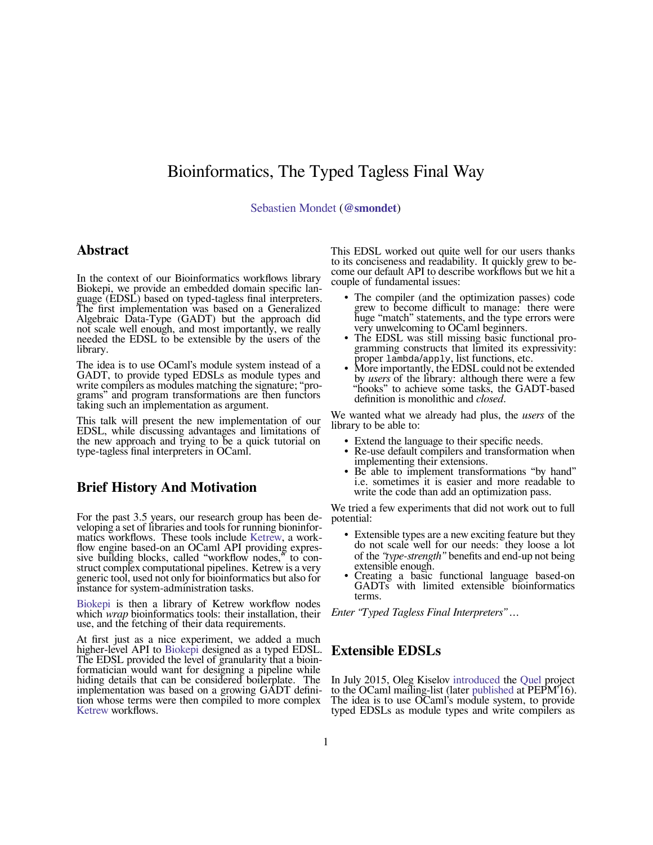# Bioinformatics, The Typed Tagless Final Way

[Sebastien Mondet](http://seb.mondet.org) (**[@smondet](https://keybase.io/smondet)**)

#### **Abstract**

In the context of our Bioinformatics workflows library Biokepi, we provide an embedded domain specific language (EDSL) based on typed-tagless final interpreters. The first implementation was based on a Generalized Algebraic Data-Type (GADT) but the approach did not scale well enough, and most importantly, we really needed the EDSL to be extensible by the users of the library.

The idea is to use OCaml's module system instead of a GADT, to provide typed EDSLs as module types and write compilers as modules matching the signature; "programs" and program transformations are then functors taking such an implementation as argument.

This talk will present the new implementation of our EDSL, while discussing advantages and limitations of the new approach and trying to be a quick tutorial on type-tagless final interpreters in OCaml.

### **Brief History And Motivation**

For the past 3.5 years, our research group has been developing a set of libraries and tools for running bioninformatics workflows. These tools include [Ketrew](https://github.com/hammerlab/ketrew), a workflow engine based-on an OCaml API providing expressive building blocks, called "workflow nodes," to construct complex computational pipelines. Ketrew is a very generic tool, used not only for bioinformatics but also for instance for system-administration tasks.

[Biokepi](https://github.com/hammerlab/biokepi) is then a library of Ketrew workflow nodes which *wrap* bioinformatics tools: their installation, their use, and the fetching of their data requirements.

At first just as a nice experiment, we added a much higher-level API to [Biokepi](https://github.com/hammerlab/biokepi) designed as a typed EDSL. The EDSL provided the level of granularity that a bioinformatician would want for designing a pipeline while hiding details that can be considered boilerplate. The implementation was based on a growing GADT definition whose terms were then compiled to more complex [Ketrew](https://github.com/hammerlab/ketrew) workflows.

This EDSL worked out quite well for our users thanks to its conciseness and readability. It quickly grew to become our default API to describe workflows but we hit a couple of fundamental issues:

- The compiler (and the optimization passes) code grew to become difficult to manage: there were huge "match" statements, and the type errors were very unwelcoming to OCaml beginners.
- The EDSL was still missing basic functional programming constructs that limited its expressivity: proper lambda/apply, list functions, etc.
- More importantly, the EDSL could not be extended by *users* of the library: although there were a few "hooks" to achieve some tasks, the GADT-based definition is monolithic and *closed*.

We wanted what we already had plus, the *users* of the library to be able to:

- Extend the language to their specific needs.
- Re-use default compilers and transformation when implementing their extensions.
- Be able to implement transformations "by hand" i.e. sometimes it is easier and more readable to write the code than add an optimization pass.

We tried a few experiments that did not work out to full potential:

- Extensible types are a new exciting feature but they do not scale well for our needs: they loose a lot of the *"type-strength"* benefits and end-up not being extensible enough.
- Creating a basic functional language based-on GADTs with limited extensible bioinformatics terms.

*Enter "Typed Tagless Final Interpreters" …*

#### **Extensible EDSLs**

In July 2015, Oleg Kiselov [introduced](https://sympa.inria.fr/sympa/arc/caml-list/2015-07/msg00054.html) the [Quel](https://bitbucket.org/knih/quel) project to the OCaml mailing-list (later [published](http://dl.acm.org/citation.cfm?doid=2847538.2847542) at PEPM'16). The idea is to use OCaml's module system, to provide typed EDSLs as module types and write compilers as